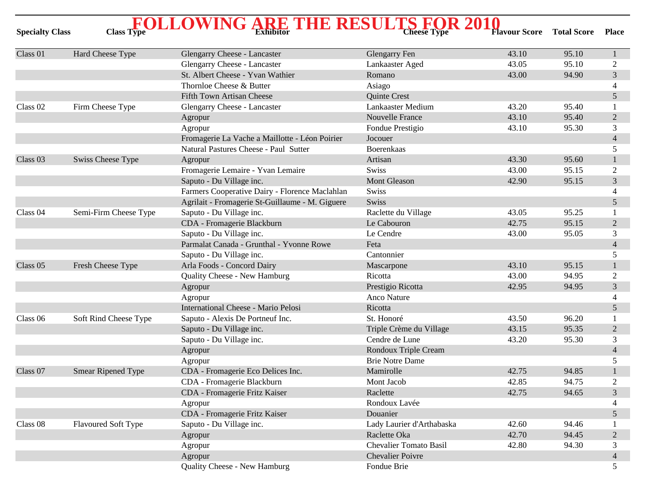| <b>Specialty Class</b> | <b>Class Type</b>         | $\rm \textbf{FOLLOWING} \rm \textcolor{red}{RRE} \rm \textcolor{red}{THE} \rm \textcolor{red}{RESULTS} \rm \textcolor{red}{FOR} \rm \textcolor{red}{2010} \rm \textcolor{red}{RSE}$ | <b>Cheese Type</b>            | <b>Flavour Score</b> | <b>Total Score</b> | <b>Place</b>   |
|------------------------|---------------------------|-------------------------------------------------------------------------------------------------------------------------------------------------------------------------------------|-------------------------------|----------------------|--------------------|----------------|
| Class 01               | Hard Cheese Type          | Glengarry Cheese - Lancaster                                                                                                                                                        | <b>Glengarry Fen</b>          | 43.10                | 95.10              | $\mathbf{1}$   |
|                        |                           | Glengarry Cheese - Lancaster                                                                                                                                                        | Lankaaster Aged               | 43.05                | 95.10              | 2              |
|                        |                           | St. Albert Cheese - Yvan Wathier                                                                                                                                                    | Romano                        | 43.00                | 94.90              | 3              |
|                        |                           | Thornloe Cheese & Butter                                                                                                                                                            | Asiago                        |                      |                    | 4              |
|                        |                           | <b>Fifth Town Artisan Cheese</b>                                                                                                                                                    | Quinte Crest                  |                      |                    | 5              |
| Class 02               | Firm Cheese Type          | Glengarry Cheese - Lancaster                                                                                                                                                        | Lankaaster Medium             | 43.20                | 95.40              |                |
|                        |                           | Agropur                                                                                                                                                                             | <b>Nouvelle France</b>        | 43.10                | 95.40              | $\overline{2}$ |
|                        |                           | Agropur                                                                                                                                                                             | Fondue Prestigio              | 43.10                | 95.30              | 3              |
|                        |                           | Fromagerie La Vache a Maillotte - Léon Poirier                                                                                                                                      | Jocouer                       |                      |                    | $\overline{4}$ |
|                        |                           | Natural Pastures Cheese - Paul Sutter                                                                                                                                               | <b>Boerenkaas</b>             |                      |                    | 5              |
| Class <sub>03</sub>    | Swiss Cheese Type         | Agropur                                                                                                                                                                             | Artisan                       | 43.30                | 95.60              |                |
|                        |                           | Fromagerie Lemaire - Yvan Lemaire                                                                                                                                                   | <b>Swiss</b>                  | 43.00                | 95.15              | $\overline{2}$ |
|                        |                           | Saputo - Du Village inc.                                                                                                                                                            | <b>Mont Gleason</b>           | 42.90                | 95.15              | 3              |
|                        |                           | Farmers Cooperative Dairy - Florence Maclahlan                                                                                                                                      | Swiss                         |                      |                    | 4              |
|                        |                           | Agrilait - Fromagerie St-Guillaume - M. Giguere                                                                                                                                     | Swiss                         |                      |                    | 5              |
| Class 04               | Semi-Firm Cheese Type     | Saputo - Du Village inc.                                                                                                                                                            | Raclette du Village           | 43.05                | 95.25              |                |
|                        |                           | CDA - Fromagerie Blackburn                                                                                                                                                          | Le Cabouron                   | 42.75                | 95.15              | $\overline{2}$ |
|                        |                           | Saputo - Du Village inc.                                                                                                                                                            | Le Cendre                     | 43.00                | 95.05              | 3              |
|                        |                           | Parmalat Canada - Grunthal - Yvonne Rowe                                                                                                                                            | Feta                          |                      |                    | $\overline{4}$ |
|                        |                           | Saputo - Du Village inc.                                                                                                                                                            | Cantonnier                    |                      |                    | 5              |
| Class 05               | Fresh Cheese Type         | Arla Foods - Concord Dairy                                                                                                                                                          | Mascarpone                    | 43.10                | 95.15              | 1              |
|                        |                           | Quality Cheese - New Hamburg                                                                                                                                                        | Ricotta                       | 43.00                | 94.95              | $\overline{2}$ |
|                        |                           | Agropur                                                                                                                                                                             | Prestigio Ricotta             | 42.95                | 94.95              | $\overline{3}$ |
|                        |                           | Agropur                                                                                                                                                                             | <b>Anco Nature</b>            |                      |                    | 4              |
|                        |                           | International Cheese - Mario Pelosi                                                                                                                                                 | Ricotta                       |                      |                    | 5              |
| Class 06               | Soft Rind Cheese Type     | Saputo - Alexis De Portneuf Inc.                                                                                                                                                    | St. Honoré                    | 43.50                | 96.20              |                |
|                        |                           | Saputo - Du Village inc.                                                                                                                                                            | Triple Crème du Village       | 43.15                | 95.35              | $\overline{2}$ |
|                        |                           | Saputo - Du Village inc.                                                                                                                                                            | Cendre de Lune                | 43.20                | 95.30              | 3              |
|                        |                           | Agropur                                                                                                                                                                             | Rondoux Triple Cream          |                      |                    | $\overline{4}$ |
|                        |                           | Agropur                                                                                                                                                                             | <b>Brie Notre Dame</b>        |                      |                    | 5              |
| Class 07               | <b>Smear Ripened Type</b> | CDA - Fromagerie Eco Delices Inc.                                                                                                                                                   | Mamirolle                     | 42.75                | 94.85              |                |
|                        |                           | CDA - Fromagerie Blackburn                                                                                                                                                          | Mont Jacob                    | 42.85                | 94.75              | $\overline{c}$ |
|                        |                           | CDA - Fromagerie Fritz Kaiser                                                                                                                                                       | Raclette                      | 42.75                | 94.65              | 3              |
|                        |                           | Agropur                                                                                                                                                                             | Rondoux Lavée                 |                      |                    | 4              |
|                        |                           | CDA - Fromagerie Fritz Kaiser                                                                                                                                                       | Douanier                      |                      |                    | 5              |
| Class 08               | Flavoured Soft Type       | Saputo - Du Village inc.                                                                                                                                                            | Lady Laurier d'Arthabaska     | 42.60                | 94.46              |                |
|                        |                           | Agropur                                                                                                                                                                             | Raclette Oka                  | 42.70                | 94.45              | $\overline{2}$ |
|                        |                           | Agropur                                                                                                                                                                             | <b>Chevalier Tomato Basil</b> | 42.80                | 94.30              | 3              |
|                        |                           | Agropur                                                                                                                                                                             | <b>Chevalier Poivre</b>       |                      |                    | $\overline{4}$ |
|                        |                           | Quality Cheese - New Hamburg                                                                                                                                                        | Fondue Brie                   |                      |                    | 5              |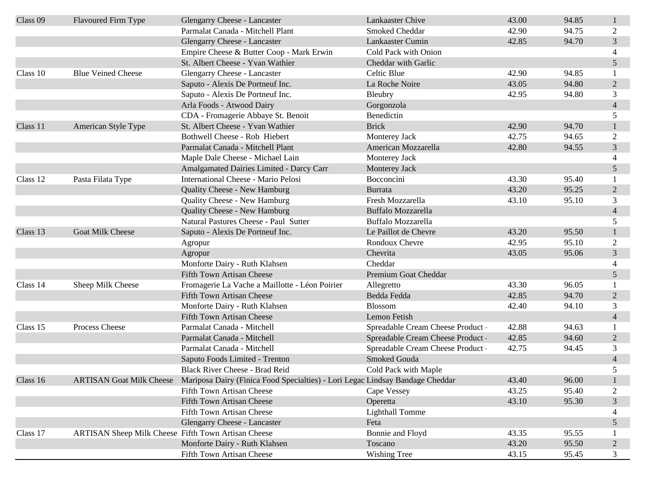| Class 09 | Flavoured Firm Type                                 | Glengarry Cheese - Lancaster                                                                           | Lankaaster Chive                  | 43.00 | 94.85 |                          |
|----------|-----------------------------------------------------|--------------------------------------------------------------------------------------------------------|-----------------------------------|-------|-------|--------------------------|
|          |                                                     | Parmalat Canada - Mitchell Plant                                                                       | Smoked Cheddar                    | 42.90 | 94.75 | 2                        |
|          |                                                     | <b>Glengarry Cheese - Lancaster</b>                                                                    | Lankaaster Cumin                  | 42.85 | 94.70 | $\overline{3}$           |
|          |                                                     | Empire Cheese & Butter Coop - Mark Erwin                                                               | Cold Pack with Onion              |       |       | $\overline{\mathcal{L}}$ |
|          |                                                     | St. Albert Cheese - Yvan Wathier                                                                       | Cheddar with Garlic               |       |       | 5                        |
| Class 10 | <b>Blue Veined Cheese</b>                           | Glengarry Cheese - Lancaster                                                                           | Celtic Blue                       | 42.90 | 94.85 |                          |
|          |                                                     | Saputo - Alexis De Portneuf Inc.                                                                       | La Roche Noire                    | 43.05 | 94.80 | $\overline{2}$           |
|          |                                                     | Saputo - Alexis De Portneuf Inc.                                                                       | Bleubry                           | 42.95 | 94.80 | 3                        |
|          |                                                     | Arla Foods - Atwood Dairy                                                                              | Gorgonzola                        |       |       | $\overline{4}$           |
|          |                                                     | CDA - Fromagerie Abbaye St. Benoit                                                                     | Benedictin                        |       |       | 5                        |
| Class 11 | American Style Type                                 | St. Albert Cheese - Yvan Wathier                                                                       | <b>Brick</b>                      | 42.90 | 94.70 |                          |
|          |                                                     | Bothwell Cheese - Rob Hiebert                                                                          | Monterey Jack                     | 42.75 | 94.65 | 2                        |
|          |                                                     | Parmalat Canada - Mitchell Plant                                                                       | American Mozzarella               | 42.80 | 94.55 | 3                        |
|          |                                                     | Maple Dale Cheese - Michael Lain                                                                       | Monterey Jack                     |       |       | 4                        |
|          |                                                     | Amalgamated Dairies Limited - Darcy Carr                                                               | Monterey Jack                     |       |       | 5                        |
| Class 12 | Pasta Filata Type                                   | <b>International Cheese - Mario Pelosi</b>                                                             | Bocconcini                        | 43.30 | 95.40 |                          |
|          |                                                     | Quality Cheese - New Hamburg                                                                           | <b>Burrata</b>                    | 43.20 | 95.25 | $\overline{2}$           |
|          |                                                     | Quality Cheese - New Hamburg                                                                           | Fresh Mozzarella                  | 43.10 | 95.10 | 3                        |
|          |                                                     | Quality Cheese - New Hamburg                                                                           | <b>Buffalo Mozzarella</b>         |       |       | $\overline{4}$           |
|          |                                                     | Natural Pastures Cheese - Paul Sutter                                                                  | <b>Buffalo Mozzarella</b>         |       |       | 5                        |
| Class 13 | Goat Milk Cheese                                    | Saputo - Alexis De Portneuf Inc.                                                                       | Le Paillot de Chevre              | 43.20 | 95.50 |                          |
|          |                                                     | Agropur                                                                                                | Rondoux Chevre                    | 42.95 | 95.10 | 2                        |
|          |                                                     | Agropur                                                                                                | Chevrita                          | 43.05 | 95.06 | 3                        |
|          |                                                     | Monforte Dairy - Ruth Klahsen                                                                          | Cheddar                           |       |       |                          |
|          |                                                     | <b>Fifth Town Artisan Cheese</b>                                                                       | Premium Goat Cheddar              |       |       | 5                        |
| Class 14 | Sheep Milk Cheese                                   | Fromagerie La Vache a Maillotte - Léon Poirier                                                         | Allegretto                        | 43.30 | 96.05 |                          |
|          |                                                     | <b>Fifth Town Artisan Cheese</b>                                                                       | Bedda Fedda                       | 42.85 | 94.70 | $\overline{2}$           |
|          |                                                     | Monforte Dairy - Ruth Klahsen                                                                          | Blossom                           | 42.40 | 94.10 | 3                        |
|          |                                                     | <b>Fifth Town Artisan Cheese</b>                                                                       | Lemon Fetish                      |       |       | $\overline{4}$           |
| Class 15 | Process Cheese                                      | Parmalat Canada - Mitchell                                                                             | Spreadable Cream Cheese Product   | 42.88 | 94.63 |                          |
|          |                                                     | Parmalat Canada - Mitchell                                                                             | Spreadable Cream Cheese Product - | 42.85 | 94.60 | $\overline{2}$           |
|          |                                                     | Parmalat Canada - Mitchell                                                                             | Spreadable Cream Cheese Product   | 42.75 | 94.45 | 3                        |
|          |                                                     | Saputo Foods Limited - Trenton                                                                         | Smoked Gouda                      |       |       | $\overline{4}$           |
|          |                                                     | Black River Cheese - Brad Reid                                                                         | Cold Pack with Maple              |       |       | 5                        |
| Class 16 |                                                     | ARTISAN Goat Milk Cheese Mariposa Dairy (Finica Food Specialties) - Lori Legac Lindsay Bandage Cheddar |                                   | 43.40 | 96.00 |                          |
|          |                                                     | Fifth Town Artisan Cheese                                                                              | Cape Vessey                       | 43.25 | 95.40 | $\overline{c}$           |
|          |                                                     | <b>Fifth Town Artisan Cheese</b>                                                                       | Operetta                          | 43.10 | 95.30 | 3                        |
|          |                                                     | Fifth Town Artisan Cheese                                                                              | <b>Lighthall Tomme</b>            |       |       | 4                        |
|          |                                                     | Glengarry Cheese - Lancaster                                                                           | Feta                              |       |       | 5                        |
| Class 17 | ARTISAN Sheep Milk Cheese Fifth Town Artisan Cheese |                                                                                                        | Bonnie and Floyd                  | 43.35 | 95.55 |                          |
|          |                                                     | Monforte Dairy - Ruth Klahsen                                                                          | Toscano                           | 43.20 | 95.50 | $\overline{2}$           |
|          |                                                     | Fifth Town Artisan Cheese                                                                              | Wishing Tree                      | 43.15 | 95.45 | 3                        |